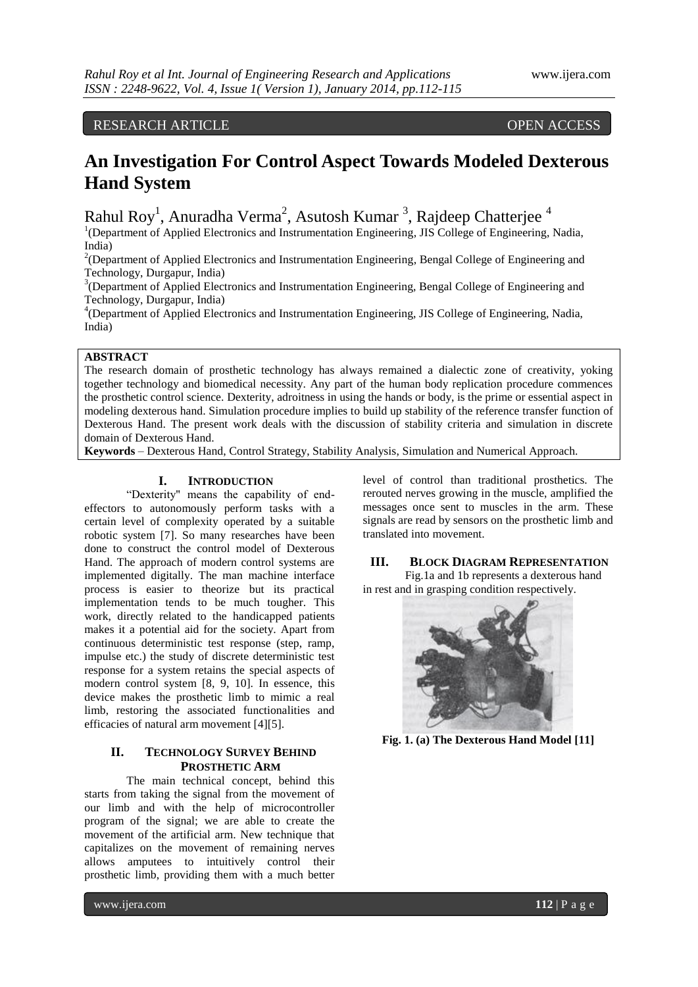RESEARCH ARTICLE OPEN ACCESS

# **An Investigation For Control Aspect Towards Modeled Dexterous Hand System**

Rahul Roy<sup>1</sup>, Anuradha Verma<sup>2</sup>, Asutosh Kumar<sup>3</sup>, Rajdeep Chatterjee<sup>4</sup>

<sup>1</sup>(Department of Applied Electronics and Instrumentation Engineering, JIS College of Engineering, Nadia, India)

<sup>2</sup>(Department of Applied Electronics and Instrumentation Engineering, Bengal College of Engineering and Technology, Durgapur, India)

<sup>3</sup>(Department of Applied Electronics and Instrumentation Engineering, Bengal College of Engineering and Technology, Durgapur, India)

4 (Department of Applied Electronics and Instrumentation Engineering, JIS College of Engineering, Nadia, India)

# **ABSTRACT**

The research domain of prosthetic technology has always remained a dialectic zone of creativity, yoking together technology and biomedical necessity. Any part of the human body replication procedure commences the prosthetic control science. Dexterity, adroitness in using the hands or body, is the prime or essential aspect in modeling dexterous hand. Simulation procedure implies to build up stability of the reference transfer function of Dexterous Hand. The present work deals with the discussion of stability criteria and simulation in discrete domain of Dexterous Hand.

**Keywords** – Dexterous Hand, Control Strategy, Stability Analysis, Simulation and Numerical Approach.

# **I. INTRODUCTION**

"Dexterity" means the capability of endeffectors to autonomously perform tasks with a certain level of complexity operated by a suitable robotic system [7]. So many researches have been done to construct the control model of Dexterous Hand. The approach of modern control systems are implemented digitally. The man machine interface process is easier to theorize but its practical implementation tends to be much tougher. This work, directly related to the handicapped patients makes it a potential aid for the society. Apart from continuous deterministic test response (step, ramp, impulse etc.) the study of discrete deterministic test response for a system retains the special aspects of modern control system [8, 9, 10]. In essence, this device makes the prosthetic limb to mimic a real limb, restoring the associated functionalities and efficacies of natural arm movement [4][5].

# **II. TECHNOLOGY SURVEY BEHIND PROSTHETIC ARM**

The main technical concept, behind this starts from taking the signal from the movement of our limb and with the help of microcontroller program of the signal; we are able to create the movement of the artificial arm. New technique that capitalizes on the movement of remaining nerves allows amputees to intuitively control their prosthetic limb, providing them with a much better

level of control than traditional prosthetics. The rerouted nerves growing in the muscle, amplified the messages once sent to muscles in the arm. These signals are read by sensors on the prosthetic limb and translated into movement.

**III. BLOCK DIAGRAM REPRESENTATION**

Fig.1a and 1b represents a dexterous hand in rest and in grasping condition respectively.



**Fig. 1. (a) The Dexterous Hand Model [11]**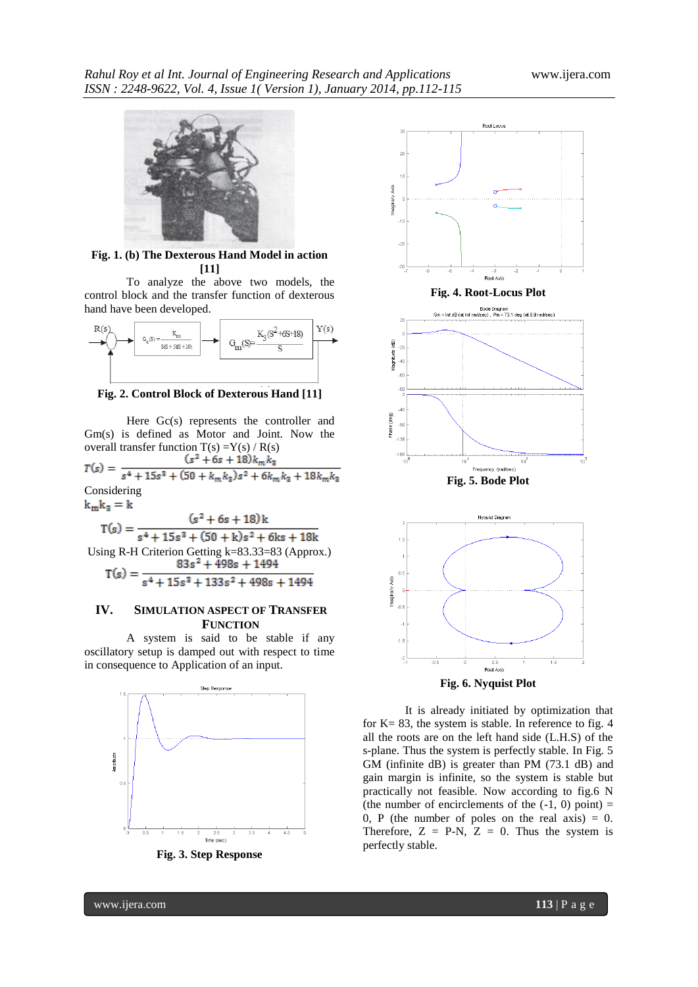

**Fig. 1. (b) The Dexterous Hand Model in action [11]**

To analyze the above two models, the control block and the transfer function of dexterous hand have been developed.



**Fig. 2. Control Block of Dexterous Hand [11]**

Here Gc(s) represents the controller and Gm(s) is defined as Motor and Joint. Now the

overall transfer function T(s) =Y(s) / R(s)<br>  $T(s) = \frac{(s^2 + 6s + 18)k_m k_3}{s^4 + 15s^3 + (50 + k_m k_3)s^2 + 6k_m k_3 + 18k_m k_3}$ Considering

 $\mathbf{k}_\mathrm{m} \mathbf{k}_\mathrm{3} = \mathbf{k}$ 

 $T(s) = \frac{(s^2 + 6s + 18)k}{s^4 + 15s^3 + (50 + k)s^2 + 6ks + 18k}$ Using R-H Criterion Getting k=83.33=83 (Approx.)<br> $83s^2 + 498s + 1494$ 

 $T(s) = \frac{33s + 430s + 1494}{s^4 + 15s^3 + 133s^2 + 498s + 1494}$ 

## **IV. SIMULATION ASPECT OF TRANSFER FUNCTION**

A system is said to be stable if any oscillatory setup is damped out with respect to time in consequence to Application of an input.



**Fig. 3. Step Response**



It is already initiated by optimization that for  $K = 83$ , the system is stable. In reference to fig. 4 all the roots are on the left hand side (L.H.S) of the s-plane. Thus the system is perfectly stable. In Fig. 5 GM (infinite dB) is greater than PM (73.1 dB) and gain margin is infinite, so the system is stable but practically not feasible. Now according to fig.6 N (the number of encirclements of the  $(-1, 0)$  point) = 0, P (the number of poles on the real axis)  $= 0$ . Therefore,  $Z = P-N$ ,  $Z = 0$ . Thus the system is perfectly stable.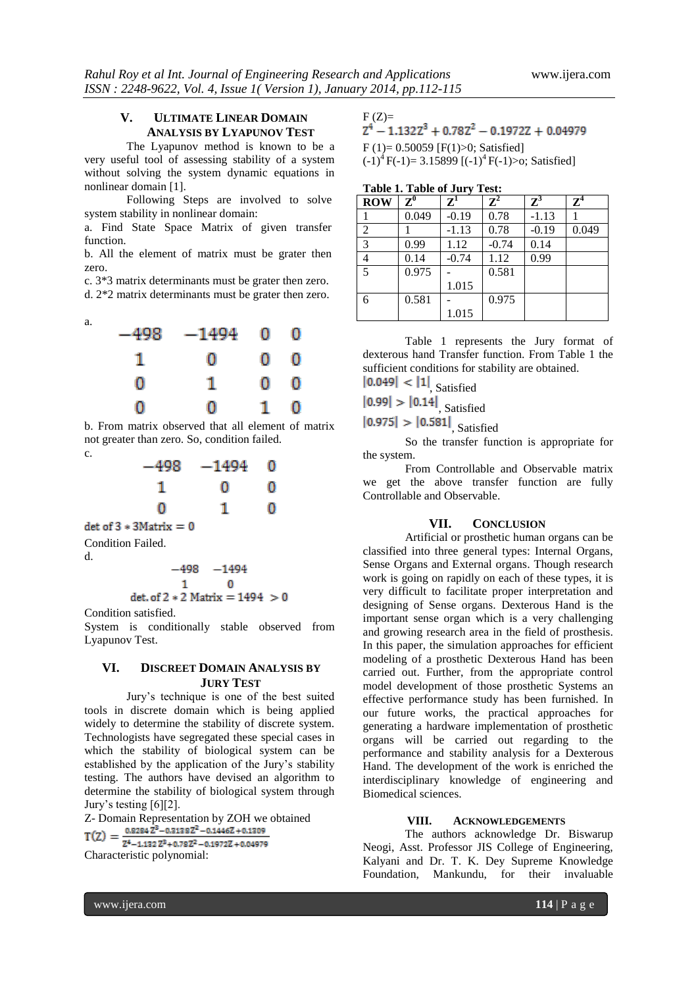# **V. ULTIMATE LINEAR DOMAIN ANALYSIS BY LYAPUNOV TEST**

The Lyapunov method is known to be a very useful tool of assessing stability of a system without solving the system dynamic equations in nonlinear domain [1].

Following Steps are involved to solve system stability in nonlinear domain:

a. Find State Space Matrix of given transfer function.

b. All the element of matrix must be grater then zero.

c. 3\*3 matrix determinants must be grater then zero.

d. 2\*2 matrix determinants must be grater then zero.



b. From matrix observed that all element of matrix not greater than zero. So, condition failed. c.



det of  $3 * 3$ Matrix = 0 Condition Failed.

d.

a.

 $-498$  $-1494$  $\mathbf{1}$ 0 det. of  $2 * 2$  Matrix = 1494 > 0

Condition satisfied.

System is conditionally stable observed from Lyapunov Test.

# **VI. DISCREET DOMAIN ANALYSIS BY JURY TEST**

Jury's technique is one of the best suited tools in discrete domain which is being applied widely to determine the stability of discrete system. Technologists have segregated these special cases in which the stability of biological system can be established by the application of the Jury's stability testing. The authors have devised an algorithm to determine the stability of biological system through Jury's testing [6][2].

Z- Domain Representation by ZOH we obtained<br>  $T(Z) = \frac{0.8284 Z^3 - 0.3138 Z^2 - 0.1446 Z + 0.1309}{Z}$  $\frac{1}{Z^4 - 1.132 Z^3 + 0.78Z^2 - 0.1972Z + 0.04979}$ <br>Characteristic polynomial:

 $F(Z)=$ <br> $Z^4 - 1.132Z^3 + 0.78Z^2 - 0.1972Z + 0.04979$ F (1)= 0.50059 [F(1)>0; Satisfied]  $(-1)^4$ F(-1)= 3.15899 [(-1)<sup>4</sup>F(-1)>o; Satisfied]

| <b>Table 1. Table of Jury Test:</b> |  |  |  |
|-------------------------------------|--|--|--|
|-------------------------------------|--|--|--|

| <b>ROW</b>     | ${\bf Z^0}$ | ${\bf Z}^1$ | $\overline{\mathbf{Z}^2}$ | $\mathbf{Z}^3$ | $\mathbf{Z}^4$ |
|----------------|-------------|-------------|---------------------------|----------------|----------------|
|                | 0.049       | $-0.19$     | 0.78                      | $-1.13$        |                |
| $\overline{2}$ |             | $-1.13$     | 0.78                      | $-0.19$        | 0.049          |
| 3              | 0.99        | 1.12        | $-0.74$                   | 0.14           |                |
|                | 0.14        | $-0.74$     | 1.12                      | 0.99           |                |
| 5              | 0.975       |             | 0.581                     |                |                |
|                |             | 1.015       |                           |                |                |
| 6              | 0.581       |             | 0.975                     |                |                |
|                |             | 1.015       |                           |                |                |

Table 1 represents the Jury format of dexterous hand Transfer function. From Table 1 the sufficient conditions for stability are obtained.

 $|0.049|$  < |1| Satisfied

 $|0.99| > |0.14|$ , Satisfied

 $|0.975| > |0.581|$ , Satisfied

So the transfer function is appropriate for the system.

From Controllable and Observable matrix we get the above transfer function are fully Controllable and Observable.

#### **VII. CONCLUSION**

Artificial or prosthetic human organs can be classified into three general types: Internal Organs, Sense Organs and External organs. Though research work is going on rapidly on each of these types, it is very difficult to facilitate proper interpretation and designing of Sense organs. Dexterous Hand is the important sense organ which is a very challenging and growing research area in the field of prosthesis. In this paper, the simulation approaches for efficient modeling of a prosthetic Dexterous Hand has been carried out. Further, from the appropriate control model development of those prosthetic Systems an effective performance study has been furnished. In our future works, the practical approaches for generating a hardware implementation of prosthetic organs will be carried out regarding to the performance and stability analysis for a Dexterous Hand. The development of the work is enriched the interdisciplinary knowledge of engineering and Biomedical sciences.

### **VIII. ACKNOWLEDGEMENTS**

The authors acknowledge Dr. Biswarup Neogi, Asst. Professor JIS College of Engineering, Kalyani and Dr. T. K. Dey Supreme Knowledge Foundation, Mankundu, for their invaluable